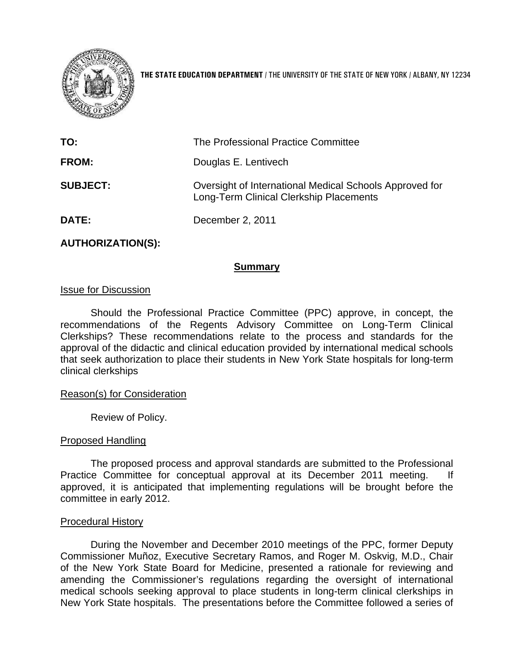

**THE STATE EDUCATION DEPARTMENT** / THE UNIVERSITY OF THE STATE OF NEW YORK / ALBANY, NY 12234

| TO:             | The Professional Practice Committee                                                                |  |
|-----------------|----------------------------------------------------------------------------------------------------|--|
| <b>FROM:</b>    | Douglas E. Lentivech                                                                               |  |
| <b>SUBJECT:</b> | Oversight of International Medical Schools Approved for<br>Long-Term Clinical Clerkship Placements |  |
| DATE:           | December 2, 2011                                                                                   |  |

### **AUTHORIZATION(S):**

#### **Summary**

#### Issue for Discussion

Should the Professional Practice Committee (PPC) approve, in concept, the recommendations of the Regents Advisory Committee on Long-Term Clinical Clerkships? These recommendations relate to the process and standards for the approval of the didactic and clinical education provided by international medical schools that seek authorization to place their students in New York State hospitals for long-term clinical clerkships

#### Reason(s) for Consideration

Review of Policy.

#### Proposed Handling

The proposed process and approval standards are submitted to the Professional Practice Committee for conceptual approval at its December 2011 meeting. If approved, it is anticipated that implementing regulations will be brought before the committee in early 2012.

#### Procedural History

During the November and December 2010 meetings of the PPC, former Deputy Commissioner Muñoz, Executive Secretary Ramos, and Roger M. Oskvig, M.D., Chair of the New York State Board for Medicine, presented a rationale for reviewing and amending the Commissioner's regulations regarding the oversight of international medical schools seeking approval to place students in long-term clinical clerkships in New York State hospitals. The presentations before the Committee followed a series of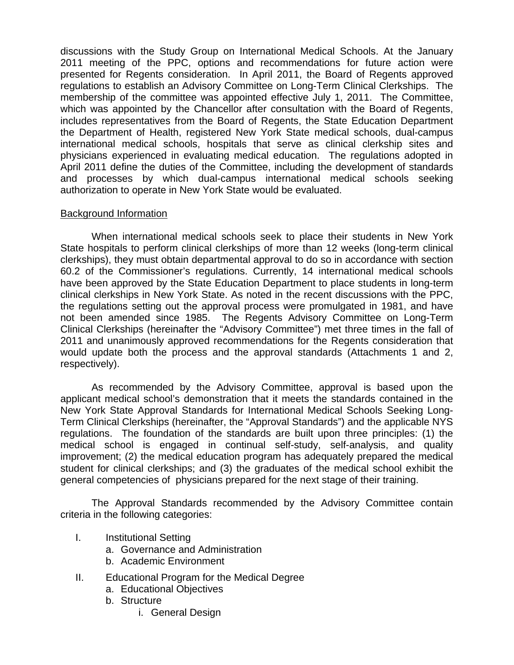discussions with the Study Group on International Medical Schools. At the January 2011 meeting of the PPC, options and recommendations for future action were presented for Regents consideration. In April 2011, the Board of Regents approved regulations to establish an Advisory Committee on Long-Term Clinical Clerkships. The membership of the committee was appointed effective July 1, 2011. The Committee, which was appointed by the Chancellor after consultation with the Board of Regents, includes representatives from the Board of Regents, the State Education Department the Department of Health, registered New York State medical schools, dual-campus international medical schools, hospitals that serve as clinical clerkship sites and physicians experienced in evaluating medical education. The regulations adopted in April 2011 define the duties of the Committee, including the development of standards and processes by which dual-campus international medical schools seeking authorization to operate in New York State would be evaluated.

### Background Information

When international medical schools seek to place their students in New York State hospitals to perform clinical clerkships of more than 12 weeks (long-term clinical clerkships), they must obtain departmental approval to do so in accordance with section 60.2 of the Commissioner's regulations. Currently, 14 international medical schools have been approved by the State Education Department to place students in long-term clinical clerkships in New York State. As noted in the recent discussions with the PPC, the regulations setting out the approval process were promulgated in 1981, and have not been amended since 1985. The Regents Advisory Committee on Long-Term Clinical Clerkships (hereinafter the "Advisory Committee") met three times in the fall of 2011 and unanimously approved recommendations for the Regents consideration that would update both the process and the approval standards (Attachments 1 and 2, respectively).

As recommended by the Advisory Committee, approval is based upon the applicant medical school's demonstration that it meets the standards contained in the New York State Approval Standards for International Medical Schools Seeking Long-Term Clinical Clerkships (hereinafter, the "Approval Standards") and the applicable NYS regulations. The foundation of the standards are built upon three principles: (1) the medical school is engaged in continual self-study, self-analysis, and quality improvement; (2) the medical education program has adequately prepared the medical student for clinical clerkships; and (3) the graduates of the medical school exhibit the general competencies of physicians prepared for the next stage of their training.

The Approval Standards recommended by the Advisory Committee contain criteria in the following categories:

- I. Institutional Setting
	- a. Governance and Administration
	- b. Academic Environment
- II. Educational Program for the Medical Degree
	- a. Educational Objectives
	- b. Structure
		- i. General Design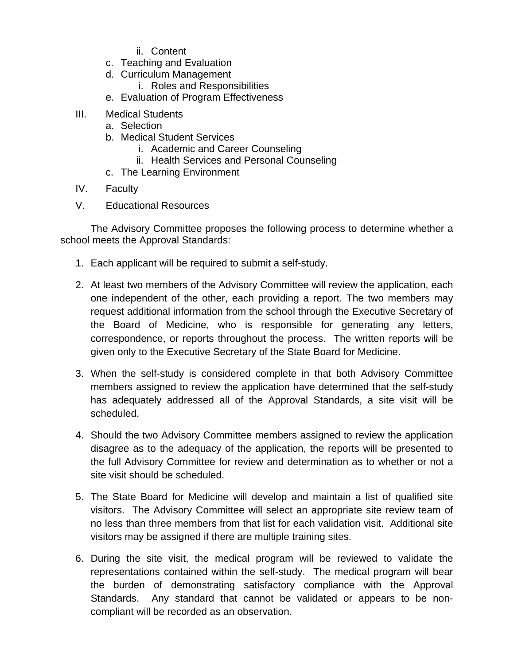- ii. Content
- c. Teaching and Evaluation
- d. Curriculum Management
	- i. Roles and Responsibilities
- e. Evaluation of Program Effectiveness
- III. Medical Students
	- a. Selection
	- b. Medical Student Services
		- i. Academic and Career Counseling
		- ii. Health Services and Personal Counseling
	- c. The Learning Environment
- IV. Faculty
- V. Educational Resources

 The Advisory Committee proposes the following process to determine whether a school meets the Approval Standards:

- 1. Each applicant will be required to submit a self-study.
- 2. At least two members of the Advisory Committee will review the application, each one independent of the other, each providing a report. The two members may request additional information from the school through the Executive Secretary of the Board of Medicine, who is responsible for generating any letters, correspondence, or reports throughout the process. The written reports will be given only to the Executive Secretary of the State Board for Medicine.
- 3. When the self-study is considered complete in that both Advisory Committee members assigned to review the application have determined that the self-study has adequately addressed all of the Approval Standards, a site visit will be scheduled.
- 4. Should the two Advisory Committee members assigned to review the application disagree as to the adequacy of the application, the reports will be presented to the full Advisory Committee for review and determination as to whether or not a site visit should be scheduled.
- 5. The State Board for Medicine will develop and maintain a list of qualified site visitors. The Advisory Committee will select an appropriate site review team of no less than three members from that list for each validation visit. Additional site visitors may be assigned if there are multiple training sites.
- 6. During the site visit, the medical program will be reviewed to validate the representations contained within the self-study. The medical program will bear the burden of demonstrating satisfactory compliance with the Approval Standards. Any standard that cannot be validated or appears to be noncompliant will be recorded as an observation.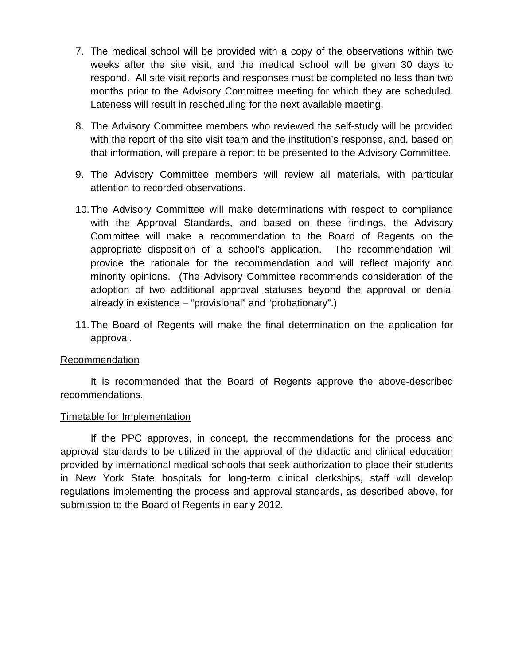- 7. The medical school will be provided with a copy of the observations within two weeks after the site visit, and the medical school will be given 30 days to respond. All site visit reports and responses must be completed no less than two months prior to the Advisory Committee meeting for which they are scheduled. Lateness will result in rescheduling for the next available meeting.
- 8. The Advisory Committee members who reviewed the self-study will be provided with the report of the site visit team and the institution's response, and, based on that information, will prepare a report to be presented to the Advisory Committee.
- 9. The Advisory Committee members will review all materials, with particular attention to recorded observations.
- 10. The Advisory Committee will make determinations with respect to compliance with the Approval Standards, and based on these findings, the Advisory Committee will make a recommendation to the Board of Regents on the appropriate disposition of a school's application. The recommendation will provide the rationale for the recommendation and will reflect majority and minority opinions. (The Advisory Committee recommends consideration of the adoption of two additional approval statuses beyond the approval or denial already in existence – "provisional" and "probationary".)
- 11. The Board of Regents will make the final determination on the application for approval.

### Recommendation

 It is recommended that the Board of Regents approve the above-described recommendations.

#### Timetable for Implementation

 If the PPC approves, in concept, the recommendations for the process and approval standards to be utilized in the approval of the didactic and clinical education provided by international medical schools that seek authorization to place their students in New York State hospitals for long-term clinical clerkships, staff will develop regulations implementing the process and approval standards, as described above, for submission to the Board of Regents in early 2012.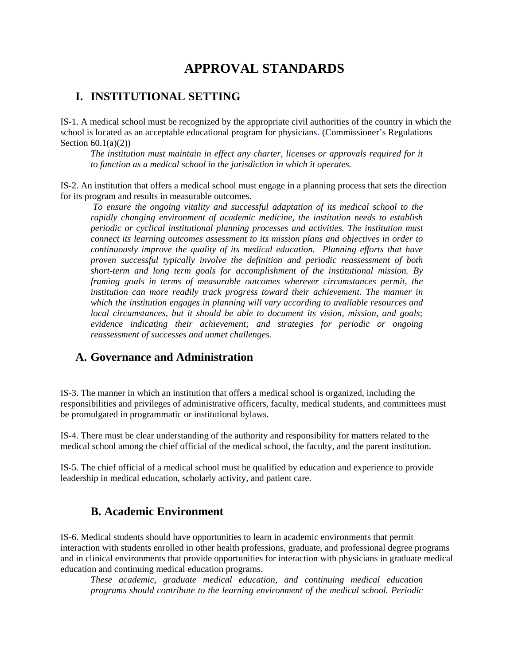# **APPROVAL STANDARDS**

# **I. INSTITUTIONAL SETTING**

IS-1. A medical school must be recognized by the appropriate civil authorities of the country in which the school is located as an acceptable educational program for physicians. (Commissioner's Regulations Section  $60.1(a)(2)$ )

*The institution must maintain in effect any charter, licenses or approvals required for it to function as a medical school in the jurisdiction in which it operates.* 

IS-2. An institution that offers a medical school must engage in a planning process that sets the direction for its program and results in measurable outcomes.

 *To ensure the ongoing vitality and successful adaptation of its medical school to the rapidly changing environment of academic medicine, the institution needs to establish periodic or cyclical institutional planning processes and activities. The institution must connect its learning outcomes assessment to its mission plans and objectives in order to continuously improve the quality of its medical education. Planning efforts that have proven successful typically involve the definition and periodic reassessment of both short-term and long term goals for accomplishment of the institutional mission. By framing goals in terms of measurable outcomes wherever circumstances permit, the institution can more readily track progress toward their achievement. The manner in which the institution engages in planning will vary according to available resources and local circumstances, but it should be able to document its vision, mission, and goals; evidence indicating their achievement; and strategies for periodic or ongoing reassessment of successes and unmet challenges.* 

## **A. Governance and Administration**

IS-3. The manner in which an institution that offers a medical school is organized, including the responsibilities and privileges of administrative officers, faculty, medical students, and committees must be promulgated in programmatic or institutional bylaws.

IS-4. There must be clear understanding of the authority and responsibility for matters related to the medical school among the chief official of the medical school, the faculty, and the parent institution.

IS-5. The chief official of a medical school must be qualified by education and experience to provide leadership in medical education, scholarly activity, and patient care.

# **B. Academic Environment**

IS-6. Medical students should have opportunities to learn in academic environments that permit interaction with students enrolled in other health professions, graduate, and professional degree programs and in clinical environments that provide opportunities for interaction with physicians in graduate medical education and continuing medical education programs.

*These academic, graduate medical education, and continuing medical education programs should contribute to the learning environment of the medical school. Periodic*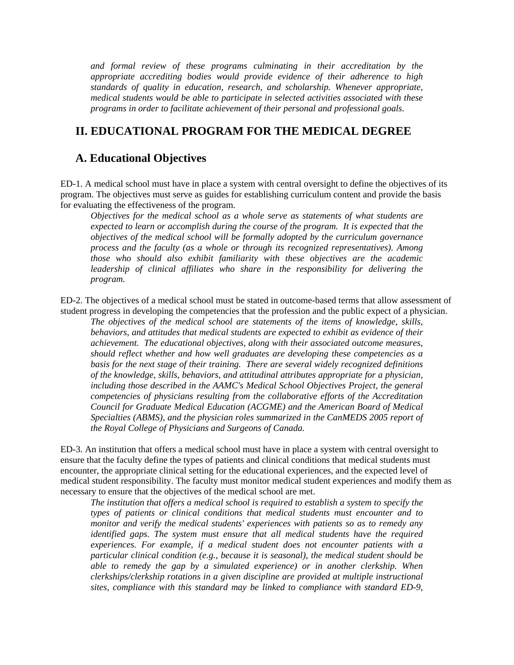*and formal review of these programs culminating in their accreditation by the appropriate accrediting bodies would provide evidence of their adherence to high standards of quality in education, research, and scholarship. Whenever appropriate, medical students would be able to participate in selected activities associated with these programs in order to facilitate achievement of their personal and professional goals.* 

#### **II. EDUCATIONAL PROGRAM FOR THE MEDICAL DEGREE**

#### **A. Educational Objectives**

ED-1. A medical school must have in place a system with central oversight to define the objectives of its program. The objectives must serve as guides for establishing curriculum content and provide the basis for evaluating the effectiveness of the program.

*Objectives for the medical school as a whole serve as statements of what students are*  expected to learn or accomplish during the course of the program. It is expected that the *objectives of the medical school will be formally adopted by the curriculum governance process and the faculty (as a whole or through its recognized representatives). Among those who should also exhibit familiarity with these objectives are the academic leadership of clinical affiliates who share in the responsibility for delivering the program.* 

ED-2. The objectives of a medical school must be stated in outcome-based terms that allow assessment of student progress in developing the competencies that the profession and the public expect of a physician.

*The objectives of the medical school are statements of the items of knowledge, skills, behaviors, and attitudes that medical students are expected to exhibit as evidence of their achievement. The educational objectives, along with their associated outcome measures, should reflect whether and how well graduates are developing these competencies as a basis for the next stage of their training. There are several widely recognized definitions of the knowledge, skills, behaviors, and attitudinal attributes appropriate for a physician, including those described in the AAMC's Medical School Objectives Project, the general competencies of physicians resulting from the collaborative efforts of the Accreditation Council for Graduate Medical Education (ACGME) and the American Board of Medical Specialties (ABMS), and the physician roles summarized in the CanMEDS 2005 report of the Royal College of Physicians and Surgeons of Canada.* 

ED-3. An institution that offers a medical school must have in place a system with central oversight to ensure that the faculty define the types of patients and clinical conditions that medical students must encounter, the appropriate clinical setting for the educational experiences, and the expected level of medical student responsibility. The faculty must monitor medical student experiences and modify them as necessary to ensure that the objectives of the medical school are met.

*The institution that offers a medical school is required to establish a system to specify the types of patients or clinical conditions that medical students must encounter and to monitor and verify the medical students' experiences with patients so as to remedy any identified gaps. The system must ensure that all medical students have the required experiences. For example, if a medical student does not encounter patients with a particular clinical condition (e.g., because it is seasonal), the medical student should be able to remedy the gap by a simulated experience) or in another clerkship. When clerkships/clerkship rotations in a given discipline are provided at multiple instructional sites, compliance with this standard may be linked to compliance with standard ED-9,*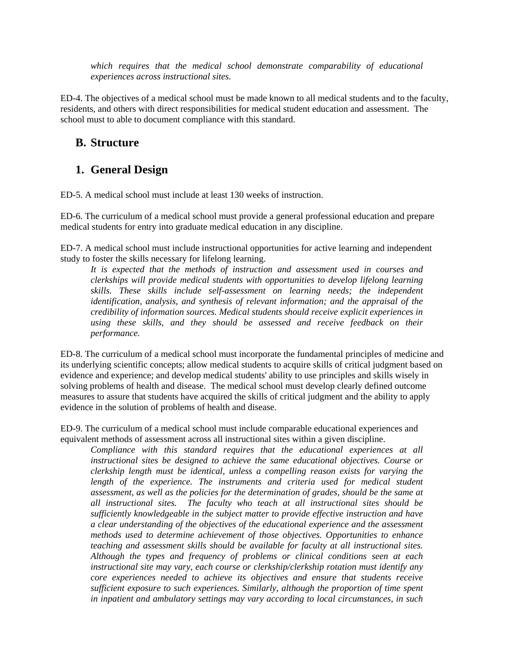which requires that the medical school demonstrate comparability of educational *experiences across instructional sites.*

ED-4. The objectives of a medical school must be made known to all medical students and to the faculty, residents, and others with direct responsibilities for medical student education and assessment. The school must to able to document compliance with this standard.

## **B. Structure**

## **1. General Design**

ED-5. A medical school must include at least 130 weeks of instruction.

ED-6. The curriculum of a medical school must provide a general professional education and prepare medical students for entry into graduate medical education in any discipline.

ED-7. A medical school must include instructional opportunities for active learning and independent study to foster the skills necessary for lifelong learning.

*It is expected that the methods of instruction and assessment used in courses and clerkships will provide medical students with opportunities to develop lifelong learning skills. These skills include self-assessment on learning needs; the independent identification, analysis, and synthesis of relevant information; and the appraisal of the credibility of information sources. Medical students should receive explicit experiences in using these skills, and they should be assessed and receive feedback on their performance.* 

ED-8. The curriculum of a medical school must incorporate the fundamental principles of medicine and its underlying scientific concepts; allow medical students to acquire skills of critical judgment based on evidence and experience; and develop medical students' ability to use principles and skills wisely in solving problems of health and disease. The medical school must develop clearly defined outcome measures to assure that students have acquired the skills of critical judgment and the ability to apply evidence in the solution of problems of health and disease.

ED-9. The curriculum of a medical school must include comparable educational experiences and equivalent methods of assessment across all instructional sites within a given discipline.

*Compliance with this standard requires that the educational experiences at all instructional sites be designed to achieve the same educational objectives. Course or clerkship length must be identical, unless a compelling reason exists for varying the*  length of the experience. The instruments and criteria used for medical student *assessment, as well as the policies for the determination of grades, should be the same at all instructional sites. The faculty who teach at all instructional sites should be sufficiently knowledgeable in the subject matter to provide effective instruction and have a clear understanding of the objectives of the educational experience and the assessment methods used to determine achievement of those objectives. Opportunities to enhance teaching and assessment skills should be available for faculty at all instructional sites. Although the types and frequency of problems or clinical conditions seen at each instructional site may vary, each course or clerkship/clerkship rotation must identify any core experiences needed to achieve its objectives and ensure that students receive sufficient exposure to such experiences. Similarly, although the proportion of time spent in inpatient and ambulatory settings may vary according to local circumstances, in such*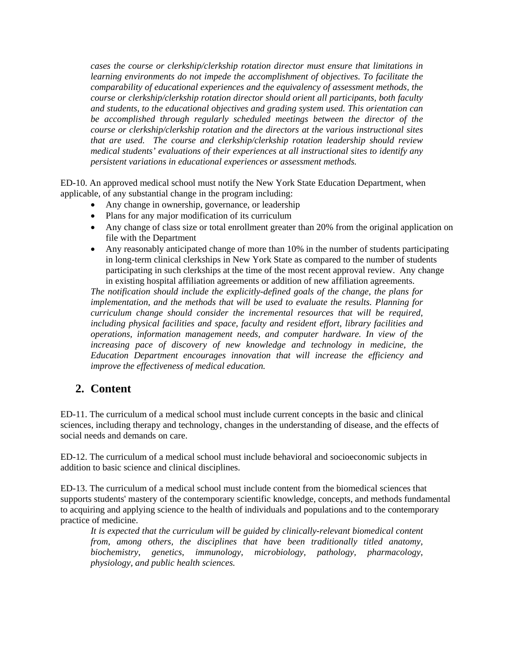*cases the course or clerkship/clerkship rotation director must ensure that limitations in learning environments do not impede the accomplishment of objectives. To facilitate the comparability of educational experiences and the equivalency of assessment methods, the course or clerkship/clerkship rotation director should orient all participants, both faculty and students, to the educational objectives and grading system used. This orientation can be accomplished through regularly scheduled meetings between the director of the course or clerkship/clerkship rotation and the directors at the various instructional sites that are used. The course and clerkship/clerkship rotation leadership should review medical students' evaluations of their experiences at all instructional sites to identify any persistent variations in educational experiences or assessment methods.* 

ED-10. An approved medical school must notify the New York State Education Department, when applicable, of any substantial change in the program including:

- Any change in ownership, governance, or leadership
- Plans for any major modification of its curriculum
- Any change of class size or total enrollment greater than 20% from the original application on file with the Department
- Any reasonably anticipated change of more than 10% in the number of students participating in long-term clinical clerkships in New York State as compared to the number of students participating in such clerkships at the time of the most recent approval review. Any change in existing hospital affiliation agreements or addition of new affiliation agreements.

*The notification should include the explicitly-defined goals of the change, the plans for implementation, and the methods that will be used to evaluate the results. Planning for curriculum change should consider the incremental resources that will be required, including physical facilities and space, faculty and resident effort, library facilities and operations, information management needs, and computer hardware. In view of the increasing pace of discovery of new knowledge and technology in medicine, the Education Department encourages innovation that will increase the efficiency and improve the effectiveness of medical education.* 

## **2. Content**

ED-11. The curriculum of a medical school must include current concepts in the basic and clinical sciences, including therapy and technology, changes in the understanding of disease, and the effects of social needs and demands on care.

ED-12. The curriculum of a medical school must include behavioral and socioeconomic subjects in addition to basic science and clinical disciplines.

ED-13. The curriculum of a medical school must include content from the biomedical sciences that supports students' mastery of the contemporary scientific knowledge, concepts, and methods fundamental to acquiring and applying science to the health of individuals and populations and to the contemporary practice of medicine.

*It is expected that the curriculum will be guided by clinically-relevant biomedical content from, among others, the disciplines that have been traditionally titled anatomy, biochemistry, genetics, immunology, microbiology, pathology, pharmacology, physiology, and public health sciences.*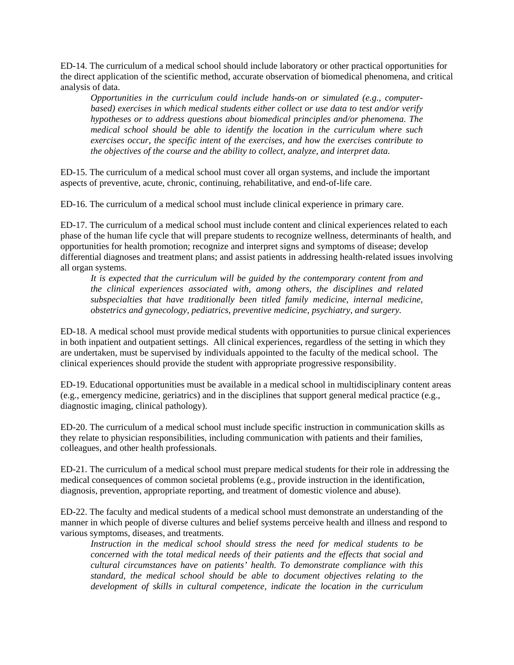ED-14. The curriculum of a medical school should include laboratory or other practical opportunities for the direct application of the scientific method, accurate observation of biomedical phenomena, and critical analysis of data.

*Opportunities in the curriculum could include hands-on or simulated (e.g., computerbased) exercises in which medical students either collect or use data to test and/or verify hypotheses or to address questions about biomedical principles and/or phenomena. The medical school should be able to identify the location in the curriculum where such exercises occur, the specific intent of the exercises, and how the exercises contribute to the objectives of the course and the ability to collect, analyze, and interpret data.* 

ED-15. The curriculum of a medical school must cover all organ systems, and include the important aspects of preventive, acute, chronic, continuing, rehabilitative, and end-of-life care.

ED-16. The curriculum of a medical school must include clinical experience in primary care.

ED-17. The curriculum of a medical school must include content and clinical experiences related to each phase of the human life cycle that will prepare students to recognize wellness, determinants of health, and opportunities for health promotion; recognize and interpret signs and symptoms of disease; develop differential diagnoses and treatment plans; and assist patients in addressing health-related issues involving all organ systems.

*It is expected that the curriculum will be guided by the contemporary content from and the clinical experiences associated with, among others, the disciplines and related subspecialties that have traditionally been titled family medicine, internal medicine, obstetrics and gynecology, pediatrics, preventive medicine, psychiatry, and surgery.* 

ED-18. A medical school must provide medical students with opportunities to pursue clinical experiences in both inpatient and outpatient settings. All clinical experiences, regardless of the setting in which they are undertaken, must be supervised by individuals appointed to the faculty of the medical school. The clinical experiences should provide the student with appropriate progressive responsibility.

ED-19. Educational opportunities must be available in a medical school in multidisciplinary content areas (e.g., emergency medicine, geriatrics) and in the disciplines that support general medical practice (e.g., diagnostic imaging, clinical pathology).

ED-20. The curriculum of a medical school must include specific instruction in communication skills as they relate to physician responsibilities, including communication with patients and their families, colleagues, and other health professionals.

ED-21. The curriculum of a medical school must prepare medical students for their role in addressing the medical consequences of common societal problems (e.g., provide instruction in the identification, diagnosis, prevention, appropriate reporting, and treatment of domestic violence and abuse).

ED-22. The faculty and medical students of a medical school must demonstrate an understanding of the manner in which people of diverse cultures and belief systems perceive health and illness and respond to various symptoms, diseases, and treatments.

*Instruction in the medical school should stress the need for medical students to be concerned with the total medical needs of their patients and the effects that social and cultural circumstances have on patients' health. To demonstrate compliance with this standard, the medical school should be able to document objectives relating to the development of skills in cultural competence, indicate the location in the curriculum*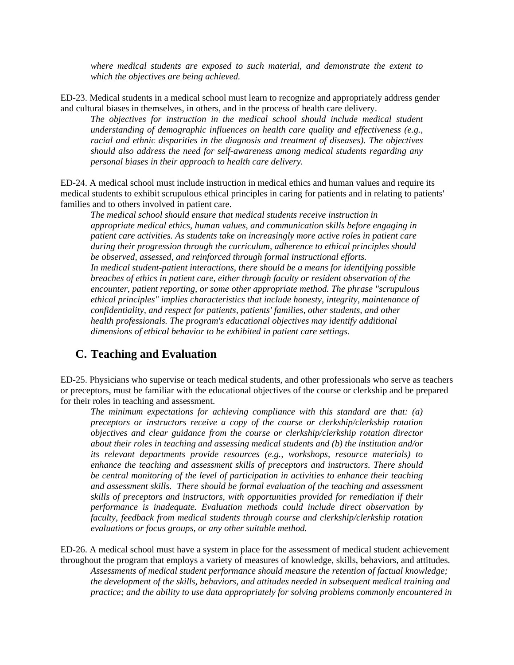*where medical students are exposed to such material, and demonstrate the extent to which the objectives are being achieved.* 

ED-23. Medical students in a medical school must learn to recognize and appropriately address gender and cultural biases in themselves, in others, and in the process of health care delivery.

*The objectives for instruction in the medical school should include medical student understanding of demographic influences on health care quality and effectiveness (e.g., racial and ethnic disparities in the diagnosis and treatment of diseases). The objectives should also address the need for self-awareness among medical students regarding any personal biases in their approach to health care delivery.* 

ED-24. A medical school must include instruction in medical ethics and human values and require its medical students to exhibit scrupulous ethical principles in caring for patients and in relating to patients' families and to others involved in patient care.

*The medical school should ensure that medical students receive instruction in appropriate medical ethics, human values, and communication skills before engaging in patient care activities. As students take on increasingly more active roles in patient care during their progression through the curriculum, adherence to ethical principles should be observed, assessed, and reinforced through formal instructional efforts. In medical student-patient interactions, there should be a means for identifying possible breaches of ethics in patient care, either through faculty or resident observation of the encounter, patient reporting, or some other appropriate method. The phrase "scrupulous ethical principles" implies characteristics that include honesty, integrity, maintenance of confidentiality, and respect for patients, patients' families, other students, and other health professionals. The program's educational objectives may identify additional dimensions of ethical behavior to be exhibited in patient care settings.* 

#### **C. Teaching and Evaluation**

ED-25. Physicians who supervise or teach medical students, and other professionals who serve as teachers or preceptors, must be familiar with the educational objectives of the course or clerkship and be prepared for their roles in teaching and assessment.

*The minimum expectations for achieving compliance with this standard are that: (a) preceptors or instructors receive a copy of the course or clerkship/clerkship rotation objectives and clear guidance from the course or clerkship/clerkship rotation director about their roles in teaching and assessing medical students and (b) the institution and/or its relevant departments provide resources (e.g., workshops, resource materials) to enhance the teaching and assessment skills of preceptors and instructors. There should be central monitoring of the level of participation in activities to enhance their teaching and assessment skills. There should be formal evaluation of the teaching and assessment skills of preceptors and instructors, with opportunities provided for remediation if their performance is inadequate. Evaluation methods could include direct observation by faculty, feedback from medical students through course and clerkship/clerkship rotation evaluations or focus groups, or any other suitable method.* 

ED-26. A medical school must have a system in place for the assessment of medical student achievement throughout the program that employs a variety of measures of knowledge, skills, behaviors, and attitudes. *Assessments of medical student performance should measure the retention of factual knowledge; the development of the skills, behaviors, and attitudes needed in subsequent medical training and practice; and the ability to use data appropriately for solving problems commonly encountered in*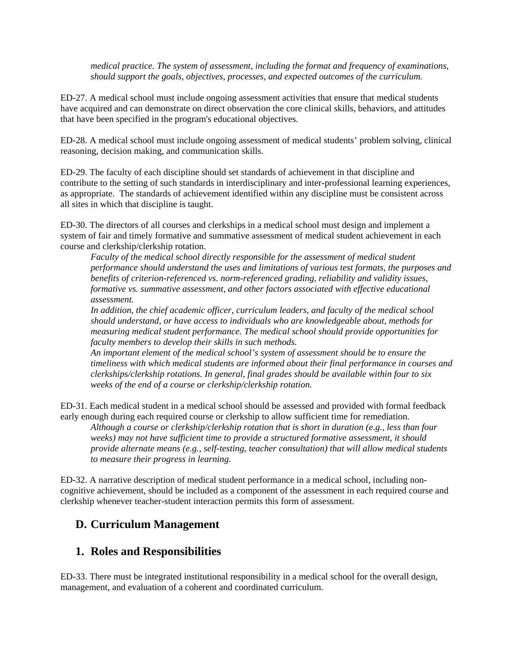*medical practice. The system of assessment, including the format and frequency of examinations, should support the goals, objectives, processes, and expected outcomes of the curriculum.* 

ED-27. A medical school must include ongoing assessment activities that ensure that medical students have acquired and can demonstrate on direct observation the core clinical skills, behaviors, and attitudes that have been specified in the program's educational objectives.

ED-28. A medical school must include ongoing assessment of medical students' problem solving, clinical reasoning, decision making, and communication skills.

ED-29. The faculty of each discipline should set standards of achievement in that discipline and contribute to the setting of such standards in interdisciplinary and inter-professional learning experiences, as appropriate. The standards of achievement identified within any discipline must be consistent across all sites in which that discipline is taught.

ED-30. The directors of all courses and clerkships in a medical school must design and implement a system of fair and timely formative and summative assessment of medical student achievement in each course and clerkship/clerkship rotation.

*Faculty of the medical school directly responsible for the assessment of medical student performance should understand the uses and limitations of various test formats, the purposes and benefits of criterion-referenced vs. norm-referenced grading, reliability and validity issues, formative vs. summative assessment, and other factors associated with effective educational assessment.* 

*In addition, the chief academic officer, curriculum leaders, and faculty of the medical school should understand, or have access to individuals who are knowledgeable about, methods for measuring medical student performance. The medical school should provide opportunities for faculty members to develop their skills in such methods.* 

*An important element of the medical school's system of assessment should be to ensure the timeliness with which medical students are informed about their final performance in courses and clerkships/clerkship rotations. In general, final grades should be available within four to six weeks of the end of a course or clerkship/clerkship rotation.* 

ED-31. Each medical student in a medical school should be assessed and provided with formal feedback early enough during each required course or clerkship to allow sufficient time for remediation.

*Although a course or clerkship/clerkship rotation that is short in duration (e.g., less than four weeks) may not have sufficient time to provide a structured formative assessment, it should provide alternate means (e.g., self-testing, teacher consultation) that will allow medical students to measure their progress in learning.* 

ED-32. A narrative description of medical student performance in a medical school, including noncognitive achievement, should be included as a component of the assessment in each required course and clerkship whenever teacher-student interaction permits this form of assessment.

## **D. Curriculum Management**

### **1. Roles and Responsibilities**

ED-33. There must be integrated institutional responsibility in a medical school for the overall design, management, and evaluation of a coherent and coordinated curriculum.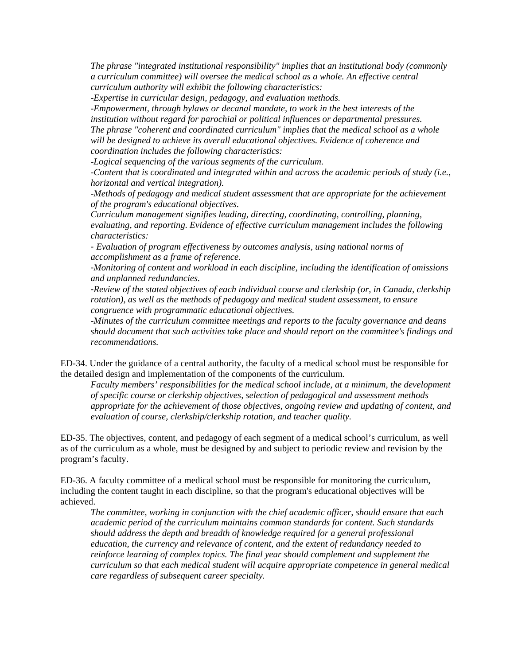*The phrase "integrated institutional responsibility" implies that an institutional body (commonly a curriculum committee) will oversee the medical school as a whole. An effective central curriculum authority will exhibit the following characteristics:* 

*-Expertise in curricular design, pedagogy, and evaluation methods.* 

*-Empowerment, through bylaws or decanal mandate, to work in the best interests of the institution without regard for parochial or political influences or departmental pressures. The phrase "coherent and coordinated curriculum" implies that the medical school as a whole will be designed to achieve its overall educational objectives. Evidence of coherence and coordination includes the following characteristics:* 

*-Logical sequencing of the various segments of the curriculum.* 

*-Content that is coordinated and integrated within and across the academic periods of study (i.e., horizontal and vertical integration).* 

*-Methods of pedagogy and medical student assessment that are appropriate for the achievement of the program's educational objectives.* 

*Curriculum management signifies leading, directing, coordinating, controlling, planning, evaluating, and reporting. Evidence of effective curriculum management includes the following characteristics:* 

- *Evaluation of program effectiveness by outcomes analysis, using national norms of accomplishment as a frame of reference.* 

-*Monitoring of content and workload in each discipline, including the identification of omissions and unplanned redundancies.* 

-*Review of the stated objectives of each individual course and clerkship (or, in Canada, clerkship rotation), as well as the methods of pedagogy and medical student assessment, to ensure congruence with programmatic educational objectives.* 

*-Minutes of the curriculum committee meetings and reports to the faculty governance and deans should document that such activities take place and should report on the committee's findings and recommendations.* 

ED-34. Under the guidance of a central authority, the faculty of a medical school must be responsible for the detailed design and implementation of the components of the curriculum.

*Faculty members' responsibilities for the medical school include, at a minimum, the development of specific course or clerkship objectives, selection of pedagogical and assessment methods appropriate for the achievement of those objectives, ongoing review and updating of content, and evaluation of course, clerkship/clerkship rotation, and teacher quality.* 

ED-35. The objectives, content, and pedagogy of each segment of a medical school's curriculum, as well as of the curriculum as a whole, must be designed by and subject to periodic review and revision by the program's faculty.

ED-36. A faculty committee of a medical school must be responsible for monitoring the curriculum, including the content taught in each discipline, so that the program's educational objectives will be achieved.

*The committee, working in conjunction with the chief academic officer, should ensure that each academic period of the curriculum maintains common standards for content. Such standards should address the depth and breadth of knowledge required for a general professional education, the currency and relevance of content, and the extent of redundancy needed to reinforce learning of complex topics. The final year should complement and supplement the curriculum so that each medical student will acquire appropriate competence in general medical care regardless of subsequent career specialty.*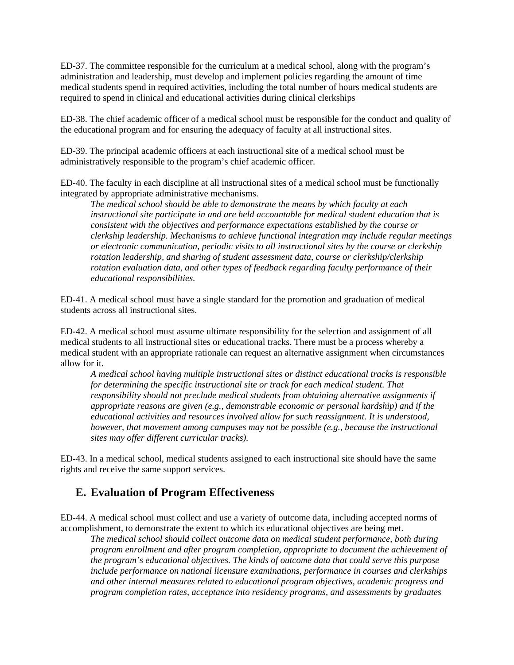ED-37. The committee responsible for the curriculum at a medical school, along with the program's administration and leadership, must develop and implement policies regarding the amount of time medical students spend in required activities, including the total number of hours medical students are required to spend in clinical and educational activities during clinical clerkships

ED-38. The chief academic officer of a medical school must be responsible for the conduct and quality of the educational program and for ensuring the adequacy of faculty at all instructional sites.

ED-39. The principal academic officers at each instructional site of a medical school must be administratively responsible to the program's chief academic officer.

ED-40. The faculty in each discipline at all instructional sites of a medical school must be functionally integrated by appropriate administrative mechanisms.

*The medical school should be able to demonstrate the means by which faculty at each instructional site participate in and are held accountable for medical student education that is consistent with the objectives and performance expectations established by the course or clerkship leadership. Mechanisms to achieve functional integration may include regular meetings or electronic communication, periodic visits to all instructional sites by the course or clerkship rotation leadership, and sharing of student assessment data, course or clerkship/clerkship rotation evaluation data, and other types of feedback regarding faculty performance of their educational responsibilities.* 

ED-41. A medical school must have a single standard for the promotion and graduation of medical students across all instructional sites.

ED-42. A medical school must assume ultimate responsibility for the selection and assignment of all medical students to all instructional sites or educational tracks. There must be a process whereby a medical student with an appropriate rationale can request an alternative assignment when circumstances allow for it.

*A medical school having multiple instructional sites or distinct educational tracks is responsible for determining the specific instructional site or track for each medical student. That responsibility should not preclude medical students from obtaining alternative assignments if appropriate reasons are given (e.g., demonstrable economic or personal hardship) and if the educational activities and resources involved allow for such reassignment. It is understood, however, that movement among campuses may not be possible (e.g., because the instructional sites may offer different curricular tracks).* 

ED-43. In a medical school, medical students assigned to each instructional site should have the same rights and receive the same support services.

### **E. Evaluation of Program Effectiveness**

ED-44. A medical school must collect and use a variety of outcome data, including accepted norms of accomplishment, to demonstrate the extent to which its educational objectives are being met.

*The medical school should collect outcome data on medical student performance, both during program enrollment and after program completion, appropriate to document the achievement of the program's educational objectives. The kinds of outcome data that could serve this purpose include performance on national licensure examinations, performance in courses and clerkships and other internal measures related to educational program objectives, academic progress and program completion rates, acceptance into residency programs, and assessments by graduates*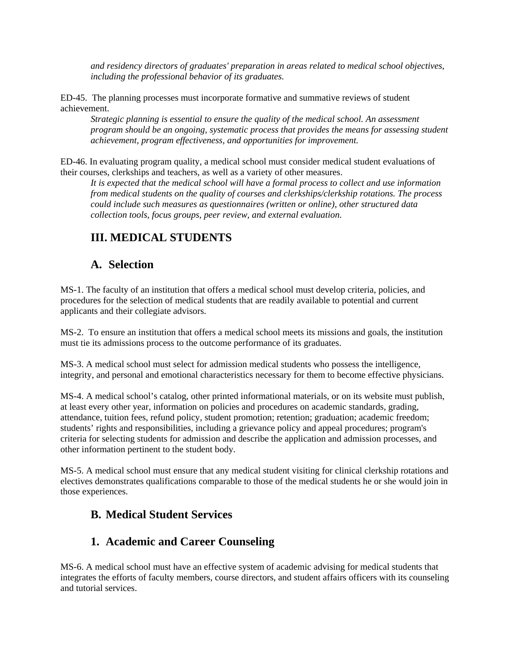*and residency directors of graduates' preparation in areas related to medical school objectives, including the professional behavior of its graduates.* 

ED-45. The planning processes must incorporate formative and summative reviews of student achievement.

*Strategic planning is essential to ensure the quality of the medical school. An assessment program should be an ongoing, systematic process that provides the means for assessing student achievement, program effectiveness, and opportunities for improvement.* 

ED-46. In evaluating program quality, a medical school must consider medical student evaluations of their courses, clerkships and teachers, as well as a variety of other measures.

*It is expected that the medical school will have a formal process to collect and use information from medical students on the quality of courses and clerkships/clerkship rotations. The process could include such measures as questionnaires (written or online), other structured data collection tools, focus groups, peer review, and external evaluation.* 

# **III. MEDICAL STUDENTS**

## **A. Selection**

MS-1. The faculty of an institution that offers a medical school must develop criteria, policies, and procedures for the selection of medical students that are readily available to potential and current applicants and their collegiate advisors.

MS-2. To ensure an institution that offers a medical school meets its missions and goals, the institution must tie its admissions process to the outcome performance of its graduates.

MS-3. A medical school must select for admission medical students who possess the intelligence, integrity, and personal and emotional characteristics necessary for them to become effective physicians.

MS-4. A medical school's catalog, other printed informational materials, or on its website must publish, at least every other year, information on policies and procedures on academic standards, grading, attendance, tuition fees, refund policy, student promotion; retention; graduation; academic freedom; students' rights and responsibilities, including a grievance policy and appeal procedures; program's criteria for selecting students for admission and describe the application and admission processes, and other information pertinent to the student body.

MS-5. A medical school must ensure that any medical student visiting for clinical clerkship rotations and electives demonstrates qualifications comparable to those of the medical students he or she would join in those experiences.

# **B. Medical Student Services**

# **1. Academic and Career Counseling**

MS-6. A medical school must have an effective system of academic advising for medical students that integrates the efforts of faculty members, course directors, and student affairs officers with its counseling and tutorial services.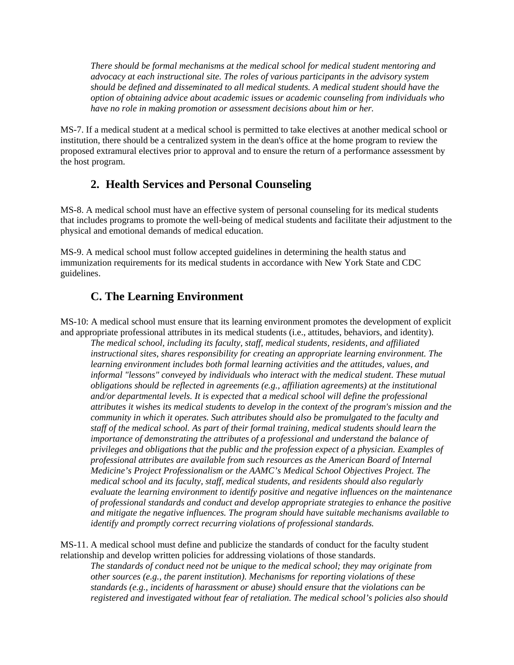*There should be formal mechanisms at the medical school for medical student mentoring and advocacy at each instructional site. The roles of various participants in the advisory system should be defined and disseminated to all medical students. A medical student should have the option of obtaining advice about academic issues or academic counseling from individuals who have no role in making promotion or assessment decisions about him or her.* 

MS-7. If a medical student at a medical school is permitted to take electives at another medical school or institution, there should be a centralized system in the dean's office at the home program to review the proposed extramural electives prior to approval and to ensure the return of a performance assessment by the host program.

# **2. Health Services and Personal Counseling**

MS-8. A medical school must have an effective system of personal counseling for its medical students that includes programs to promote the well-being of medical students and facilitate their adjustment to the physical and emotional demands of medical education.

MS-9. A medical school must follow accepted guidelines in determining the health status and immunization requirements for its medical students in accordance with New York State and CDC guidelines.

# **C. The Learning Environment**

MS-10: A medical school must ensure that its learning environment promotes the development of explicit and appropriate professional attributes in its medical students (i.e., attitudes, behaviors, and identity).

*The medical school, including its faculty, staff, medical students, residents, and affiliated instructional sites, shares responsibility for creating an appropriate learning environment. The learning environment includes both formal learning activities and the attitudes, values, and informal "lessons" conveyed by individuals who interact with the medical student. These mutual obligations should be reflected in agreements (e.g., affiliation agreements) at the institutional and/or departmental levels. It is expected that a medical school will define the professional attributes it wishes its medical students to develop in the context of the program's mission and the community in which it operates. Such attributes should also be promulgated to the faculty and staff of the medical school. As part of their formal training, medical students should learn the importance of demonstrating the attributes of a professional and understand the balance of privileges and obligations that the public and the profession expect of a physician. Examples of professional attributes are available from such resources as the American Board of Internal Medicine's Project Professionalism or the AAMC's Medical School Objectives Project. The medical school and its faculty, staff, medical students, and residents should also regularly evaluate the learning environment to identify positive and negative influences on the maintenance of professional standards and conduct and develop appropriate strategies to enhance the positive and mitigate the negative influences. The program should have suitable mechanisms available to identify and promptly correct recurring violations of professional standards.* 

MS-11. A medical school must define and publicize the standards of conduct for the faculty student relationship and develop written policies for addressing violations of those standards.

*The standards of conduct need not be unique to the medical school; they may originate from other sources (e.g., the parent institution). Mechanisms for reporting violations of these standards (e.g., incidents of harassment or abuse) should ensure that the violations can be registered and investigated without fear of retaliation. The medical school's policies also should*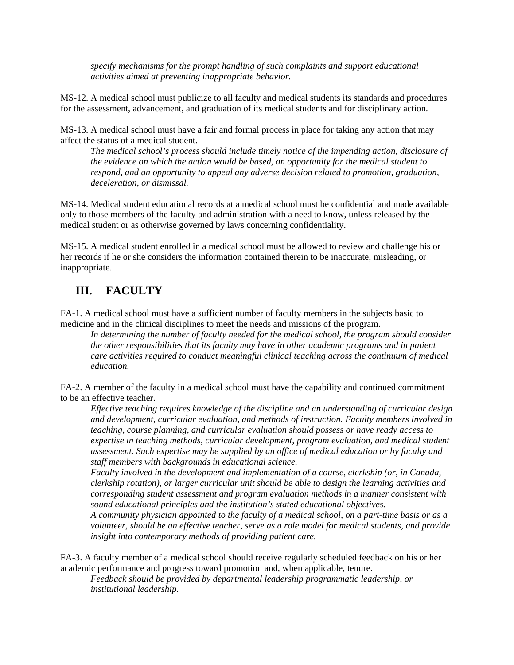*specify mechanisms for the prompt handling of such complaints and support educational activities aimed at preventing inappropriate behavior.* 

MS-12. A medical school must publicize to all faculty and medical students its standards and procedures for the assessment, advancement, and graduation of its medical students and for disciplinary action.

MS-13. A medical school must have a fair and formal process in place for taking any action that may affect the status of a medical student.

*The medical school's process should include timely notice of the impending action, disclosure of the evidence on which the action would be based, an opportunity for the medical student to respond, and an opportunity to appeal any adverse decision related to promotion, graduation, deceleration, or dismissal.* 

MS-14. Medical student educational records at a medical school must be confidential and made available only to those members of the faculty and administration with a need to know, unless released by the medical student or as otherwise governed by laws concerning confidentiality.

MS-15. A medical student enrolled in a medical school must be allowed to review and challenge his or her records if he or she considers the information contained therein to be inaccurate, misleading, or inappropriate.

## **III. FACULTY**

FA-1. A medical school must have a sufficient number of faculty members in the subjects basic to medicine and in the clinical disciplines to meet the needs and missions of the program.

In determining the number of faculty needed for the medical school, the program should consider *the other responsibilities that its faculty may have in other academic programs and in patient care activities required to conduct meaningful clinical teaching across the continuum of medical education.* 

FA-2. A member of the faculty in a medical school must have the capability and continued commitment to be an effective teacher.

*Effective teaching requires knowledge of the discipline and an understanding of curricular design and development, curricular evaluation, and methods of instruction. Faculty members involved in teaching, course planning, and curricular evaluation should possess or have ready access to expertise in teaching methods, curricular development, program evaluation, and medical student assessment. Such expertise may be supplied by an office of medical education or by faculty and staff members with backgrounds in educational science.* 

*Faculty involved in the development and implementation of a course, clerkship (or, in Canada, clerkship rotation), or larger curricular unit should be able to design the learning activities and corresponding student assessment and program evaluation methods in a manner consistent with sound educational principles and the institution's stated educational objectives.* 

*A community physician appointed to the faculty of a medical school, on a part-time basis or as a volunteer, should be an effective teacher, serve as a role model for medical students, and provide insight into contemporary methods of providing patient care.* 

FA-3. A faculty member of a medical school should receive regularly scheduled feedback on his or her academic performance and progress toward promotion and, when applicable, tenure.

*Feedback should be provided by departmental leadership programmatic leadership, or institutional leadership.*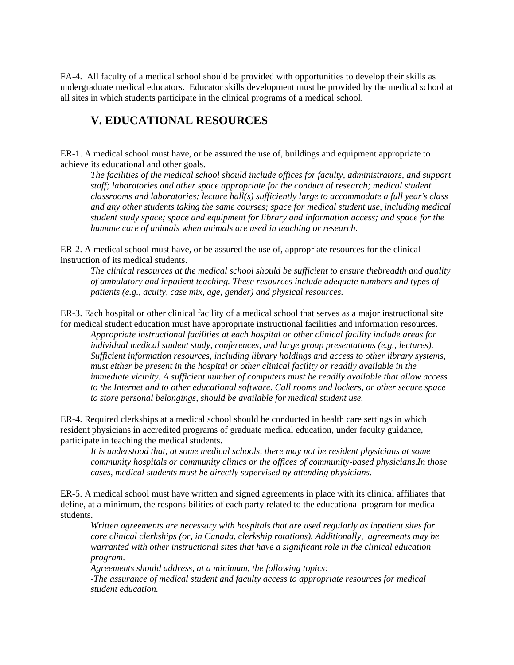FA-4. All faculty of a medical school should be provided with opportunities to develop their skills as undergraduate medical educators. Educator skills development must be provided by the medical school at all sites in which students participate in the clinical programs of a medical school.

# **V. EDUCATIONAL RESOURCES**

ER-1. A medical school must have, or be assured the use of, buildings and equipment appropriate to achieve its educational and other goals.

*The facilities of the medical school should include offices for faculty, administrators, and support staff; laboratories and other space appropriate for the conduct of research; medical student classrooms and laboratories; lecture hall(s) sufficiently large to accommodate a full year's class and any other students taking the same courses; space for medical student use, including medical student study space; space and equipment for library and information access; and space for the humane care of animals when animals are used in teaching or research.* 

ER-2. A medical school must have, or be assured the use of, appropriate resources for the clinical instruction of its medical students.

*The clinical resources at the medical school should be sufficient to ensure thebreadth and quality of ambulatory and inpatient teaching. These resources include adequate numbers and types of patients (e.g., acuity, case mix, age, gender) and physical resources.* 

ER-3. Each hospital or other clinical facility of a medical school that serves as a major instructional site for medical student education must have appropriate instructional facilities and information resources.

*Appropriate instructional facilities at each hospital or other clinical facility include areas for individual medical student study, conferences, and large group presentations (e.g., lectures). Sufficient information resources, including library holdings and access to other library systems, must either be present in the hospital or other clinical facility or readily available in the immediate vicinity. A sufficient number of computers must be readily available that allow access to the Internet and to other educational software. Call rooms and lockers, or other secure space to store personal belongings, should be available for medical student use.* 

ER-4. Required clerkships at a medical school should be conducted in health care settings in which resident physicians in accredited programs of graduate medical education, under faculty guidance, participate in teaching the medical students.

*It is understood that, at some medical schools, there may not be resident physicians at some community hospitals or community clinics or the offices of community-based physicians.In those cases, medical students must be directly supervised by attending physicians.* 

ER-5. A medical school must have written and signed agreements in place with its clinical affiliates that define, at a minimum, the responsibilities of each party related to the educational program for medical students.

*Written agreements are necessary with hospitals that are used regularly as inpatient sites for core clinical clerkships (or, in Canada, clerkship rotations). Additionally, agreements may be warranted with other instructional sites that have a significant role in the clinical education program.* 

*Agreements should address, at a minimum, the following topics:* 

*-The assurance of medical student and faculty access to appropriate resources for medical student education.*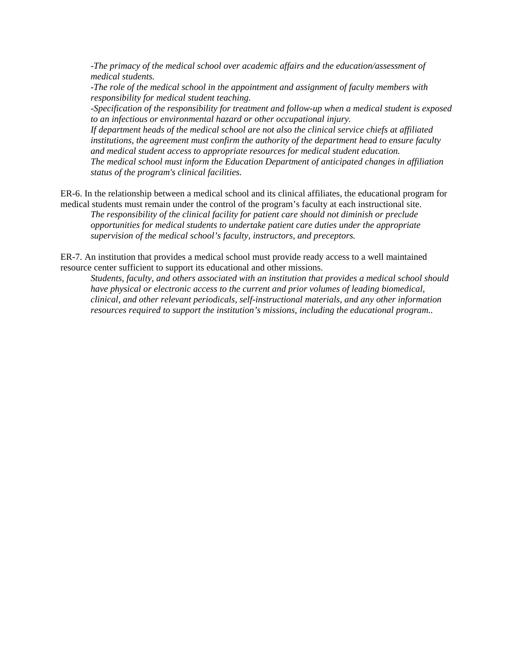*-The primacy of the medical school over academic affairs and the education/assessment of medical students.* 

*-The role of the medical school in the appointment and assignment of faculty members with responsibility for medical student teaching.* 

*-Specification of the responsibility for treatment and follow-up when a medical student is exposed to an infectious or environmental hazard or other occupational injury.* 

*If department heads of the medical school are not also the clinical service chiefs at affiliated institutions, the agreement must confirm the authority of the department head to ensure faculty and medical student access to appropriate resources for medical student education. The medical school must inform the Education Department of anticipated changes in affiliation status of the program's clinical facilities.* 

ER-6. In the relationship between a medical school and its clinical affiliates, the educational program for medical students must remain under the control of the program's faculty at each instructional site. *The responsibility of the clinical facility for patient care should not diminish or preclude* 

*opportunities for medical students to undertake patient care duties under the appropriate supervision of the medical school's faculty, instructors, and preceptors.* 

ER-7. An institution that provides a medical school must provide ready access to a well maintained resource center sufficient to support its educational and other missions.

*Students, faculty, and others associated with an institution that provides a medical school should have physical or electronic access to the current and prior volumes of leading biomedical, clinical, and other relevant periodicals, self-instructional materials, and any other information resources required to support the institution's missions, including the educational program..*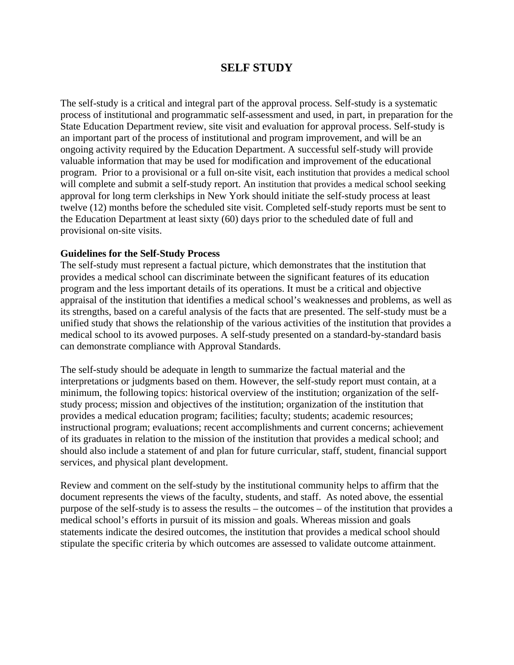## **SELF STUDY**

The self-study is a critical and integral part of the approval process. Self-study is a systematic process of institutional and programmatic self-assessment and used, in part, in preparation for the State Education Department review, site visit and evaluation for approval process. Self-study is an important part of the process of institutional and program improvement, and will be an ongoing activity required by the Education Department. A successful self-study will provide valuable information that may be used for modification and improvement of the educational program. Prior to a provisional or a full on-site visit, each institution that provides a medical school will complete and submit a self-study report. An institution that provides a medical school seeking approval for long term clerkships in New York should initiate the self-study process at least twelve (12) months before the scheduled site visit. Completed self-study reports must be sent to the Education Department at least sixty (60) days prior to the scheduled date of full and provisional on-site visits.

#### **Guidelines for the Self-Study Process**

The self-study must represent a factual picture, which demonstrates that the institution that provides a medical school can discriminate between the significant features of its education program and the less important details of its operations. It must be a critical and objective appraisal of the institution that identifies a medical school's weaknesses and problems, as well as its strengths, based on a careful analysis of the facts that are presented. The self-study must be a unified study that shows the relationship of the various activities of the institution that provides a medical school to its avowed purposes. A self-study presented on a standard-by-standard basis can demonstrate compliance with Approval Standards.

The self-study should be adequate in length to summarize the factual material and the interpretations or judgments based on them. However, the self-study report must contain, at a minimum, the following topics: historical overview of the institution; organization of the selfstudy process; mission and objectives of the institution; organization of the institution that provides a medical education program; facilities; faculty; students; academic resources; instructional program; evaluations; recent accomplishments and current concerns; achievement of its graduates in relation to the mission of the institution that provides a medical school; and should also include a statement of and plan for future curricular, staff, student, financial support services, and physical plant development.

Review and comment on the self-study by the institutional community helps to affirm that the document represents the views of the faculty, students, and staff. As noted above, the essential purpose of the self-study is to assess the results – the outcomes – of the institution that provides a medical school's efforts in pursuit of its mission and goals. Whereas mission and goals statements indicate the desired outcomes, the institution that provides a medical school should stipulate the specific criteria by which outcomes are assessed to validate outcome attainment.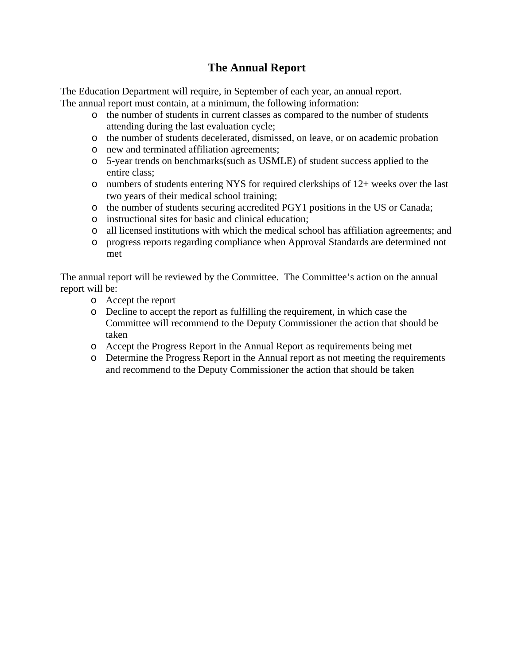# **The Annual Report**

The Education Department will require, in September of each year, an annual report. The annual report must contain, at a minimum, the following information:

- o the number of students in current classes as compared to the number of students attending during the last evaluation cycle;
- o the number of students decelerated, dismissed, on leave, or on academic probation
- o new and terminated affiliation agreements;
- o 5-year trends on benchmarks(such as USMLE) of student success applied to the entire class;
- o numbers of students entering NYS for required clerkships of 12+ weeks over the last two years of their medical school training;
- o the number of students securing accredited PGY1 positions in the US or Canada;
- o instructional sites for basic and clinical education;
- o all licensed institutions with which the medical school has affiliation agreements; and
- o progress reports regarding compliance when Approval Standards are determined not met

The annual report will be reviewed by the Committee. The Committee's action on the annual report will be:

- o Accept the report
- o Decline to accept the report as fulfilling the requirement, in which case the Committee will recommend to the Deputy Commissioner the action that should be taken
- o Accept the Progress Report in the Annual Report as requirements being met
- o Determine the Progress Report in the Annual report as not meeting the requirements and recommend to the Deputy Commissioner the action that should be taken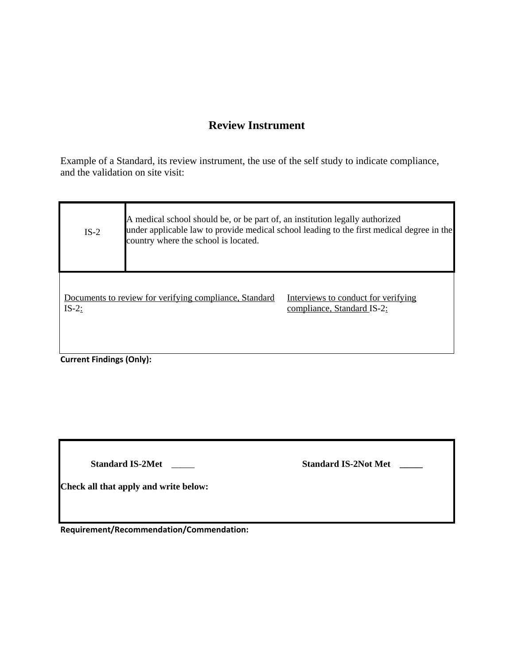# **Review Instrument**

Example of a Standard, its review instrument, the use of the self study to indicate compliance, and the validation on site visit:

| $IS-2$                          | A medical school should be, or be part of, an institution legally authorized<br>under applicable law to provide medical school leading to the first medical degree in the<br>country where the school is located. |                                                                   |
|---------------------------------|-------------------------------------------------------------------------------------------------------------------------------------------------------------------------------------------------------------------|-------------------------------------------------------------------|
| $IS-2$ :                        | Documents to review for verifying compliance, Standard                                                                                                                                                            | Interviews to conduct for verifying<br>compliance, Standard IS-2: |
| <b>Current Findings (Only):</b> |                                                                                                                                                                                                                   |                                                                   |

**Standard IS-2Met** \_\_\_\_\_ **Standard IS-2Not Met \_\_\_\_\_**

**Check all that apply and write below:** 

**Requirement/Recommendation/Commendation:**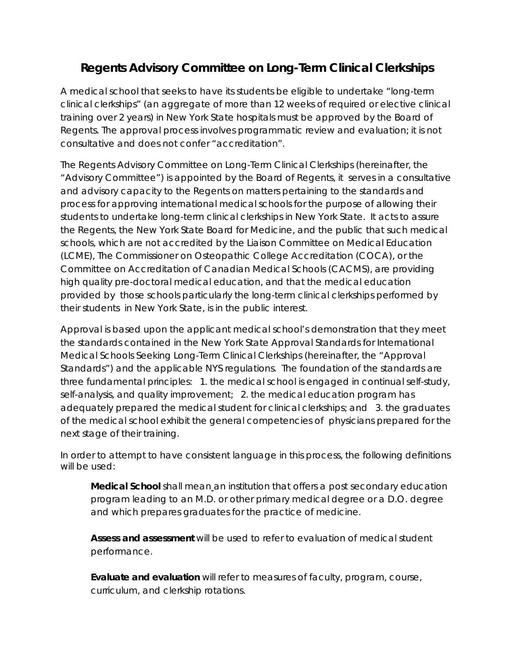# **Regents Advisory Committee on Long-Term Clinical Clerkships**

A medical school that seeks to have its students be eligible to undertake "long-term clinical clerkships" (an aggregate of more than 12 weeks of required or elective clinical training over 2 years) in New York State hospitals must be approved by the Board of Regents. The approval process involves programmatic review and evaluation; it is not consultative and does not confer "accreditation".

The Regents Advisory Committee on Long-Term Clinical Clerkships (hereinafter, the "Advisory Committee") is appointed by the Board of Regents, it serves in a consultative and advisory capacity to the Regents on matters pertaining to the standards and process for approving international medical schools for the purpose of allowing their students to undertake long-term clinical clerkships in New York State. It acts to assure the Regents, the New York State Board for Medicine, and the public that such medical schools, which are not accredited by the Liaison Committee on Medical Education (LCME), The Commissioner on Osteopathic College Accreditation (COCA), or the Committee on Accreditation of Canadian Medical Schools (CACMS), are providing high quality pre-doctoral medical education, and that the medical education provided by those schools particularly the long-term clinical clerkships performed by their students in New York State, is in the public interest.

Approval is based upon the applicant medical school's demonstration that they meet the standards contained in the New York State Approval Standards for International Medical Schools Seeking Long-Term Clinical Clerkships (hereinafter, the "Approval Standards") and the applicable NYS regulations. The foundation of the standards are three fundamental principles: 1. the medical school is engaged in continual self-study, self-analysis, and quality improvement; 2. the medical education program has adequately prepared the medical student for clinical clerkships; and 3. the graduates of the medical school exhibit the general competencies of physicians prepared for the next stage of their training.

In order to attempt to have consistent language in this process, the following definitions will be used:

**Medical School** shall mean an institution that offers a post secondary education program leading to an M.D. or other primary medical degree or a D.O. degree and which prepares graduates for the practice of medicine.

**Assess and assessment** will be used to refer to evaluation of medical student performance.

**Evaluate and evaluation** will refer to measures of faculty, program, course, curriculum, and clerkship rotations.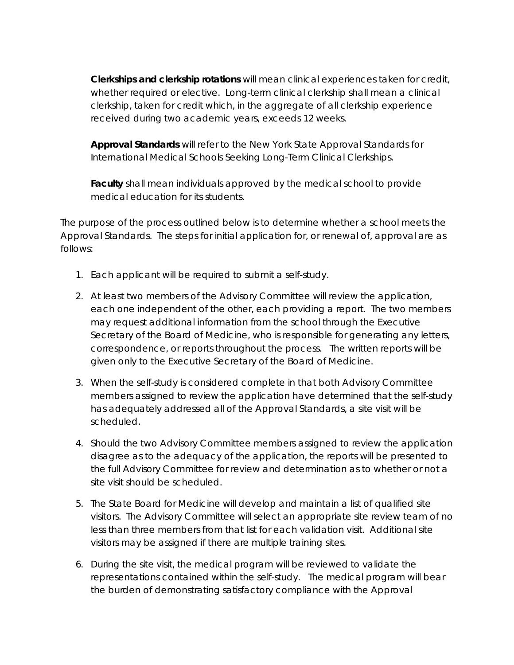**Clerkships and clerkship rotations** will mean clinical experiences taken for credit, whether required or elective. Long-term clinical clerkship shall mean a clinical clerkship, taken for credit which, in the aggregate of all clerkship experience received during two academic years, exceeds 12 weeks.

**Approval Standards** will refer to the New York State Approval Standards for International Medical Schools Seeking Long-Term Clinical Clerkships.

**Faculty** shall mean individuals approved by the medical school to provide medical education for its students.

The purpose of the process outlined below is to determine whether a school meets the Approval Standards. The steps for initial application for, or renewal of, approval are as follows:

- 1. Each applicant will be required to submit a self-study.
- 2. At least two members of the Advisory Committee will review the application, each one independent of the other, each providing a report. The two members may request additional information from the school through the Executive Secretary of the Board of Medicine, who is responsible for generating any letters, correspondence, or reports throughout the process. The written reports will be given only to the Executive Secretary of the Board of Medicine.
- 3. When the self-study is considered complete in that both Advisory Committee members assigned to review the application have determined that the self-study has adequately addressed all of the Approval Standards, a site visit will be scheduled.
- 4. Should the two Advisory Committee members assigned to review the application disagree as to the adequacy of the application, the reports will be presented to the full Advisory Committee for review and determination as to whether or not a site visit should be scheduled.
- 5. The State Board for Medicine will develop and maintain a list of qualified site visitors. The Advisory Committee will select an appropriate site review team of no less than three members from that list for each validation visit. Additional site visitors may be assigned if there are multiple training sites.
- 6. During the site visit, the medical program will be reviewed to validate the representations contained within the self-study. The medical program will bear the burden of demonstrating satisfactory compliance with the Approval